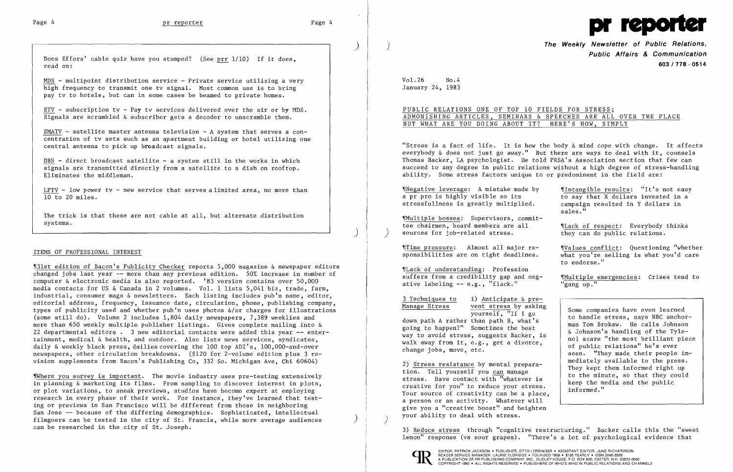

)

Does Effors' cable quiz have you stumped? (See prr 1/10) If it does, read on:

MDS - multipoint distribution service - Private service utilizing a very high frequency to transmit one ty signal. Most common use is to bring pay tv to hotels, but can in some cases be beamed to private homes.

STV - subscription tv - Pay tv services delivered over the air or by MDS. Signals are scrambled & subscriber gets a decoder to unscramble them.

SMATV - satellite master antenna television - A system that serves a concentration of tv sets such as an apartment building or hotel utilizing one central antenna to pick up broadcast signals.

DBS - direct broadcast satellite - a system still in the works in which signals are transmitted directly from a satellite to a dish on rooftop. Eliminates the middleman.

LPTV - low power tv - new service that serves a limited area, no more than 10 to 20 miles.

The trick is that these are not cable at all, but alternate distribution systems.

)

## ITEMS OF PROFESSIONAL INTEREST

 $$W$ here you survey is important. The movie industry uses pre-testing extensively in planning & marketing its films. From sampling to discover interest in plots, or plot variations, to sneak previews, studios have become expert at employing research in every phase of their work. For instance, they've learned that test ing or previews in San Francisco will be different from those in neighboring San Jose -- because of the differing demographics. Sophisticated, intellectual filmgoers can be tested in the city of St. Francis, while more average audiences ) can be researched in the city of St. Joseph.

**The Weekly Newsletter of Public Relations. Public Affairs & Communication 603/778 - 0514** 

Vol. 26 No. 4 January 24, 1983

'13lst edition of Bacon's Publicity Checker reports 5,000 magazine & newspaper editors changed jobs last year -- more than any previous edition. 50% increase in number of computer & electronic media is also reported. '83 version contains over 50,000 media contacts for US & Canada in 2 volumes. Vol. 1 lists 5,041 biz, trade, farm, industrial, consumer mags & newsletters. Each listing includes pub'n name, editor, editorial address, frequency, issuance date, circulation, phone, publishing company, types of publicity used and whether pub<sup>'</sup>n uses photos  $\&\$ or charges for illustrations (some still do). Volume 2 includes 1,804 daily newspapers, 7,389 weeklies and more than 650 weekly multiple publisher listings. Gives complete mailing into & 22 departmental editors. 3 new editorial contacts were added this year **--** enter tainment, medical & health, and outdoor. Also lists news services, syndicates, daily & weekly black press, dailies covering the 100 top ADI's, 100,000-and-over newspapers, other circulation breakdowns. (\$120 for 2-volume edition plus 3 re vision supplements from Bacon's Publishing Co, 332 So. Michigan Ave, Chi 60604)

'INegative leverage: A mistake made by .Intangible results: "It's not easy a pr pro is highly visible so its to say that  $\overline{X}$  dollars invested in stressfullness is greatly multiplied.  $\overline{X}$  campaign resulted in  $\overline{Y}$  dollars in stressfullness is greatly multiplied.

'IMultiple bosses: Supervisors, commitsources for job-related stress.

"Lack of understanding: Profession suffers from a credibility gap and neg-<br>ative labeling -- e.g., "flack." "gang up." ative labeling  $-$  e.g., "flack."

3 Techniques to 1) Anticipate & pre-<br>Manage Stress vent stress by asking

 $\frac{\text{Time pressure:}}{\text{sponsibilities}}$  Almost all major re-<br>sponsibilities are on tight deadlines.<br>what you're selling is what you'd care  $\overline{\text{what you're selling is what you'd care}}$ to endorse."

Manage Stress vent stress by asking<br>
yourself, "If I go<br>
down path A rather than path B, what's<br>
going to happen?" Sometimes the best<br>
man Tom Brokaw. He calls Johnson<br>
man Tom Brokaw. He calls Johnson down path A rather than path B, what's<br>going to happen?" Sometimes the best<br>way to avoid stress, suggests Backer, is<br>walk away from it, e.g., get a divorce,<br>change jobs, move, etc.<br>example in the most stress and the most b seen. "They made their people im-

2) Stress resistance by mental prepara-<br>tion. Tell yourself you can manage<br>stress. Have contact with "whatever is<br>creative for you" to reduce your stress.<br>Your source of creativity can be a place,<br> $\begin{array}{c|c|c|c|c|c|c|c|c} \$ a person or an activity. Whatever will give you a "creative boost" and heighten your ability to deal with stress. )

> EDITOR, PATRICK JACKSON. PUBLISHER, OTTO LERBINGER • ASSISTANT EDITOR, JUNE RICHARDSON READER SERVICE MANAGER, LAURIE ELDRIDGE· FOUNDED 1958 • \$100 YEARLY. ISSN 0048-2609 A PUBLICATION OF PR PUBLISHING COMPANY, INC., DUDLEY HOUSE, P.O. BOX 600, EXETER, N.H. 03833-0600

PUBLIC RELATIONS ONE OF TOP 10 FIELDS FOR STRESS; ADMONISHING ARTICLES, SEMINARS & SPEECHES ARE ALL OVER THE PLACE BUT WHAT ARE YOU DOING ABOUT IT? HERE'S HOW, SIMPLY

"Stress is a fact of life. It is how the body & mind cope with change. It affects everybody & does not just go away." But there are ways to deal with it, counsels Thomas Backer, LA psychologist. He told PRSA's Association section that few can succeed to any degree in public relations without a high degree of stress-handling ability. Some stress factors unique to or predominent in the field are:

sales."

 $'$ Lack of respect: Everybody thinks<br>they can do public relations.

3) Reduce stress through "cognitive restructuring." Backer calls this the "sweet lemon" response (vs sour grapes). "There's a lot of psychological evidence that